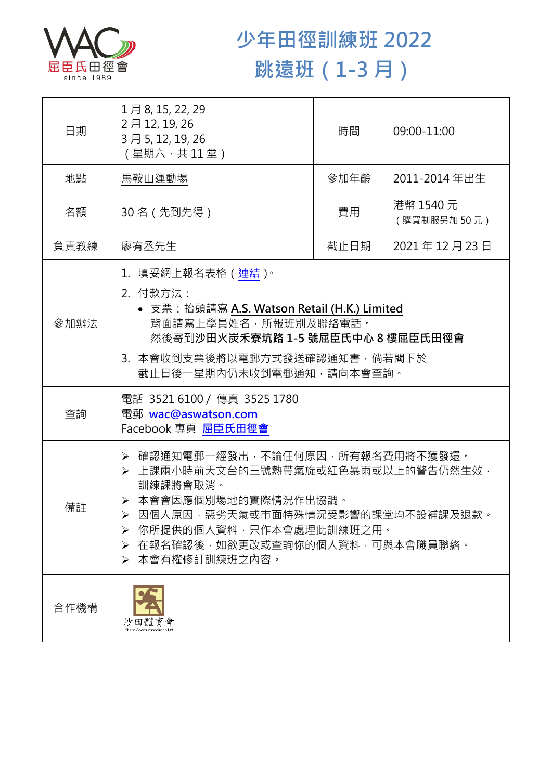

## **少年田徑訓練班 2022 跳遠班(1-3 月)**

| 日期   | 1月8, 15, 22, 29<br>2月12, 19, 26<br>3月5, 12, 19, 26<br>(星期六,共11堂)                                                                                                                                                                        | 時間   | 09:00-11:00              |  |
|------|-----------------------------------------------------------------------------------------------------------------------------------------------------------------------------------------------------------------------------------------|------|--------------------------|--|
| 地點   | 馬鞍山運動場                                                                                                                                                                                                                                  | 參加年齡 | 2011-2014 年出生            |  |
| 名額   | 30 名 (先到先得)                                                                                                                                                                                                                             | 費用   | 港幣 1540 元<br>(購買制服另加50元) |  |
| 負責教練 | 廖宥丞先生                                                                                                                                                                                                                                   | 截止日期 | 2021年12月23日              |  |
| 參加辦法 | 1.填妥網上報名表格(連結) <sup>。</sup><br>2. 付款方法:<br>• 支票: 抬頭請寫 A.S. Watson Retail (H.K.) Limited<br>背面請寫上學員姓名,所報班別及聯絡電話。<br>然後寄到沙田火炭禾寮坑路 1-5 號屈臣氏中心 8 樓屈臣氏田徑會<br>3. 本會收到支票後將以電郵方式發送確認通知書,倘若閣下於<br>截止日後一星期內仍未收到電郵通知,請向本會查詢。                       |      |                          |  |
| 查詢   | 電話 3521 6100 / 傳真 3525 1780<br>電郵 wac@aswatson.com<br>Facebook 專頁 屈臣氏田徑會                                                                                                                                                                |      |                          |  |
| 備註   | ▶ 確認通知電郵一經發出,不論任何原因,所有報名費用將不獲發還。<br>▶ 上課兩小時前天文台的三號熱帶氣旋或紅色暴雨或以上的警告仍然生效,<br>訓練課將會取消。<br>▶ 本會會因應個別場地的實際情況作出協調。<br>因個人原因,惡劣天氣或市面特殊情況受影響的課堂均不設補課及退款。<br>你所提供的個人資料,只作本會處理此訓練班之用。<br>➤<br>在報名確認後,如欲更改或查詢你的個人資料,可與本會職員聯絡。<br>➤<br>本會有權修訂訓練班之內容。 |      |                          |  |
| 合作機構 | 沙田體育會                                                                                                                                                                                                                                   |      |                          |  |